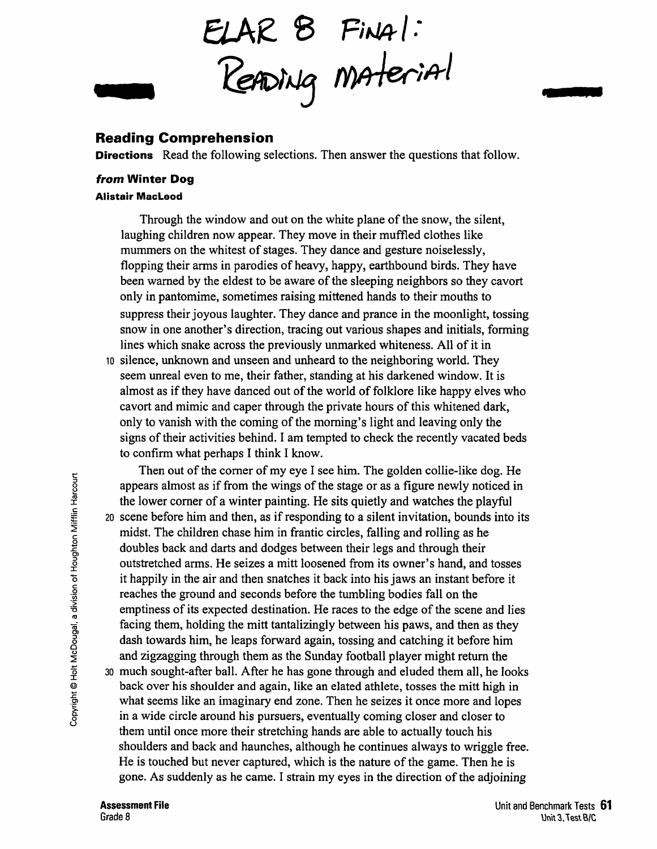$E LAR B FiNA$  !: Reading Material

# Reading Comprehension

Directions Read the following selections. Then answer the questions that follow.

### from Winter Dog

### Alistair Macleod

Through the window and out on the white plane of the snow, the silent, laughing children now appear. They move in their muffled clothes like mummers on the whitest of stages. They dance and gesture noiselessly, flopping their arms in parodies of heavy, happy, earthbound birds. They have been warned by the eldest to be aware of the sleeping neighbors so they cavort only in pantomime, sometimes raising mittened hands to their mouths to suppress their joyous laughter. They dance and prance in the moonlight, tossing snow in one another's direction, tracing out various shapes and initials, forming lines which snake across the previously unmarked whiteness. All of it in

10 silence, unknown and unseen and unheard to the neighboring world. They seem unreal even to me, their father, standing at his darkened window. It is almost as if they have danced out of the world of folklore like happy elves who cavort and mimic and caper through the private hours of this whitened dark, only to vanish with the coming of the morning's light and leaving only the signs of their activities behind. I am tempted to check the recently vacated beds to confirm what perhaps I think I know.

Then out of the comer of my eye I see him. The golden collie-like dog. He appears almost as if from the wings of the stage or as a figure newly noticed in the lower comer of a winter painting. He sits quietly and watches the playful 20 scene before him and then, as if responding to a silent invitation, bounds into its midst. The children chase him in frantic circles, falling and rolling as he doubles back and darts and dodges between their legs and through their outstretched arms. He seizes a mitt loosened from its owner's hand, and tosses it happily in the air and then snatches it back into his jaws an instant before it reaches the ground and seconds before the twnbling bodies fall on the emptiness of its expected destination. He races to the edge of the scene and lies facing them, holding the mitt tantalizingly between his paws, and then as they dash towards him, he leaps forward again, tossing and catching it before him and zigzagging through them as the Sunday football player might return the <sup>30</sup>much sought-after ball. After he has gone through and eluded them all, he looks back over his shoulder and again, like an elated athlete, tosses the mitt high in what seems like an imaginary end zone. Then he seizes it once more and lopes in a wide circle around his pursuers, eventually coming closer and closer to them until once more their stretching hands are able to actually touch his shoulders and back and haunches, although he continues always to wriggle free. He is touched but never captured, which is the nature of the game. Then he is gone. As suddenly as he came. I strain my eyes in the direction of the adjoining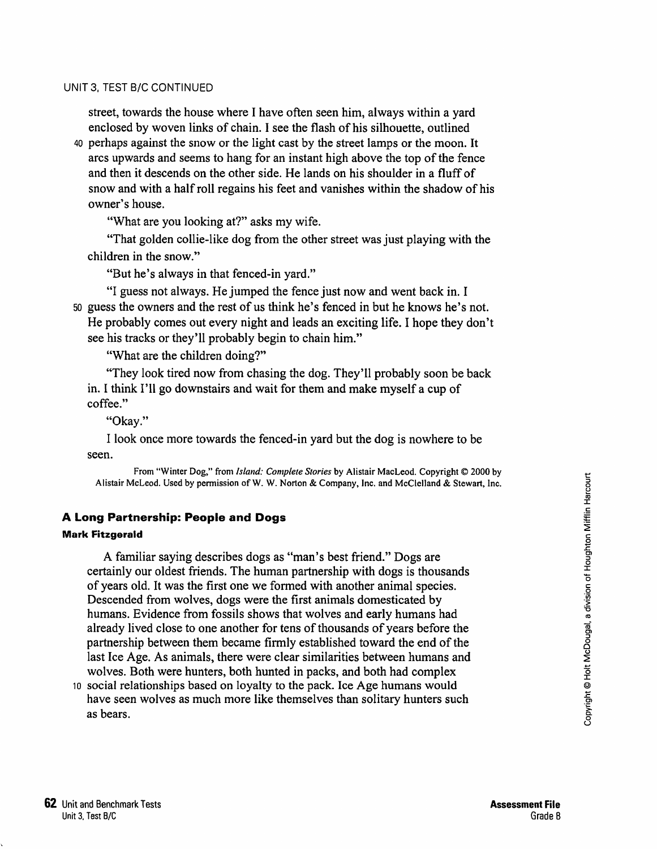### UNIT 3, TEST B/C CONTINUED

street, towards the house where I have often seen him, always within a yard enclosed by woven links of chain. I see the flash of his silhouette, outlined

40 perhaps against the snow or the light cast by the street lamps or the moon. It arcs upwards and seems to hang for an instant high above the top of the fence and then it descends on the other side. He lands on his shoulder in a fluff of snow and with a half roll regains his feet and vanishes within the shadow of his owner's house.

"What are you looking at?" asks my wife.

"That golden collie-like dog from the other street was just playing with the children in the snow."

"But he's always in that fenced-in yard."

"I guess not always. He jumped the fence just now and went back in. I 50 guess the owners and the rest of us think he's fenced in but he knows he's not. He probably comes out every night and leads an exciting life. I hope they don't see his tracks or they'll probably begin to chain him."

"What are the children doing?"

"They look tired now from chasing the dog. They'll probably soon be back in. I think I'll go downstairs and wait for them and make myself a cup of coffee."

"Okay."

I look once more towards the fenced-in yard but the dog is nowhere to be seen.

From "Winter Dog," from *Island: Complete Stories* by Alistair MacLeod. Copyright© 2000 by Alistair McLeod. Used by permission of W.W. Norton & Company, Inc. and McClelland & Stewart, Inc.

# **A Long Partnership: People and Dogs**

## **Mark Fitzgerald**

A familiar saying describes dogs as "man's best friend." Dogs are certainly our oldest friends. The human partnership with dogs is thousands of years old. It was the first one we formed with another animal species. Descended from wolves, dogs were the first animals domesticated by humans. Evidence from fossils shows that wolves and early humans had already lived close to one another for tens of thousands of years before the partnership between them became firmly established toward the end of the last Ice Age. As animals, there were clear similarities between humans and wolves. Both were hunters, both hunted in packs, and both had complex

10 social relationships based on loyalty to the pack. Ice Age humans would have seen wolves as much more like themselves than solitary hunters such as bears.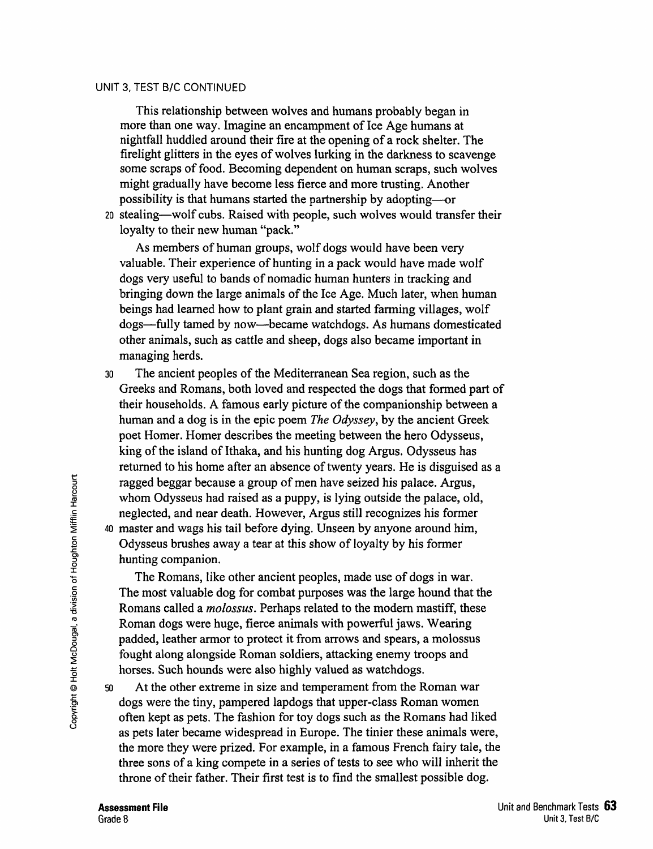#### UNIT 3, TEST B/C CONTINUED

This relationship between wolves and humans probably began in more than one way. Imagine an encampment of Ice Age humans at nightfall huddled around their fire at the opening of a rock shelter. The firelight glitters in the eyes of wolves lurking in the darkness to scavenge some scraps of food. Becoming dependent on human scraps, such wolves might gradually have become less fierce and more trusting. Another possibility is that humans started the partnership by adopting-or

20 stealing-wolf cubs. Raised with people, such wolves would transfer their loyalty to their new human "pack."

As members of human groups, wolf dogs would have been very valuable. Their experience of hunting in a pack would have made wolf dogs very useful to bands of nomadic human hunters in tracking and bringing down the large animals of the Ice Age. Much later, when human beings had learned how to plant grain and started farming villages, wolf dogs-fully tamed by now-became watchdogs. As humans domesticated other animals, such as cattle and sheep, dogs also became important in managing herds.

30 The ancient peoples of the Mediterranean Sea region, such as the Greeks and Romans, both loved and respected the dogs that formed part of their households. A famous early picture of the companionship between a human and a dog is in the epic poem *The Odyssey,* by the ancient Greek poet Homer. Homer describes the meeting between the hero Odysseus, king of the island of lthaka, and his hunting dog Argus. Odysseus has returned to his home after an absence of twenty years. He is disguised as a ragged beggar because a group of men have seized his palace. Argus, whom Odysseus had raised as a puppy, is lying outside the palace, old, neglected, and near death. However, Argus still recognizes his former 40 master and wags his tail before dying. Unseen by anyone around him, Odysseus brushes away a tear at this show of loyalty by his former hunting companion.

The Romans, like other ancient peoples, made use of dogs in war. The most valuable dog for combat purposes was the large hound that the Romans called a *molossus.* Perhaps related to the modem mastiff, these Roman dogs were huge, fierce animals with powerful jaws. Wearing padded, leather armor to protect it from arrows and spears, a molossus fought along alongside Roman soldiers, attacking enemy troops and horses. Such hounds were also highly valued as watchdogs.

50 At the other extreme in size and temperament from the Roman war dogs were the tiny, pampered lapdogs that upper-class Roman women often kept as pets. The fashion for toy dogs such as the Romans had liked as pets later became widespread in Europe. The tinier these animals were, the more they were prized. For example, in a famous French fairy tale, the three sons of a king compete in a series of tests to see who will inherit the throne of their father. Their first test is to find the smallest possible dog.